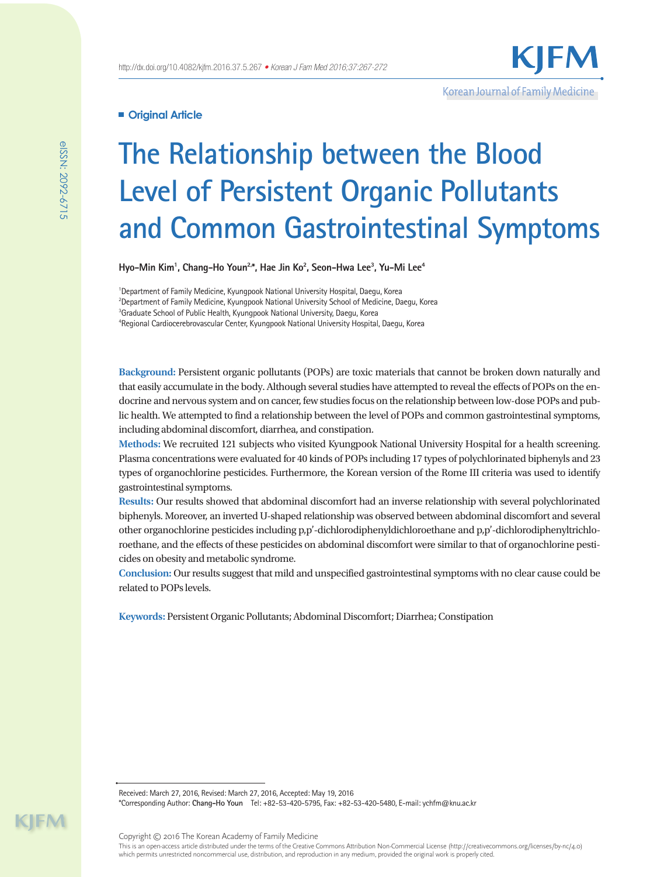## **Original Article**

eISSN: 2092-6715

elSSN: 2092-6715

# **The Relationship between the Blood Level of Persistent Organic Pollutants and Common Gastrointestinal Symptoms**

**Hyo-Min Kim1 , Chang-Ho Youn2,\*, Hae Jin Ko2 , Seon-Hwa Lee3 , Yu-Mi Lee4**

<sup>1</sup>Department of Family Medicine, Kyungpook National University Hospital, Daegu, Korea  $^{2}$ Department of Family Medicine, Kyungpook National University School of Medicine, Daegu, Korea <sup>3</sup>Graduate School of Public Health, Kyungpook National University, Daegu, Korea 4 Regional Cardiocerebrovascular Center, Kyungpook National University Hospital, Daegu, Korea

**Background:** Persistent organic pollutants (POPs) are toxic materials that cannot be broken down naturally and that easily accumulate in the body. Although several studies have attempted to reveal the effects of POPs on the endocrine and nervous system and on cancer, few studies focus on the relationship between low-dose POPs and public health. We attempted to find a relationship between the level of POPs and common gastrointestinal symptoms, including abdominal discomfort, diarrhea, and constipation.

**Methods:** We recruited 121 subjects who visited Kyungpook National University Hospital for a health screening. Plasma concentrations were evaluated for 40 kinds of POPs including 17 types of polychlorinated biphenyls and 23 types of organochlorine pesticides. Furthermore, the Korean version of the Rome III criteria was used to identify gastrointestinal symptoms.

**Results:** Our results showed that abdominal discomfort had an inverse relationship with several polychlorinated biphenyls. Moreover, an inverted U-shaped relationship was observed between abdominal discomfort and several other organochlorine pesticides including p,p'-dichlorodiphenyldichloroethane and p,p'-dichlorodiphenyltrichloroethane, and the effects of these pesticides on abdominal discomfort were similar to that of organochlorine pesticides on obesity and metabolic syndrome.

**Conclusion:** Our results suggest that mild and unspecified gastrointestinal symptoms with no clear cause could be related to POPs levels.

**Keywords:** Persistent Organic Pollutants; Abdominal Discomfort; Diarrhea; Constipation

\*Corresponding Author: **Chang-Ho Youn** Tel: +82-53-420-5795, Fax: +82-53-420-5480, E-mail: ychfm@knu.ac.kr

Received: March 27, 2016, Revised: March 27, 2016, Accepted: May 19, 2016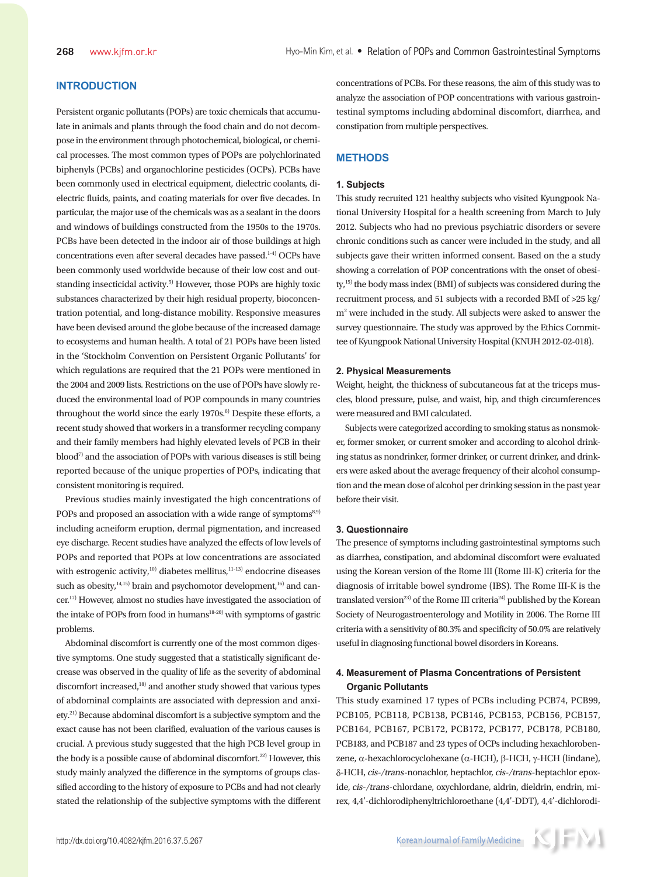## **INTRODUCTION**

Persistent organic pollutants (POPs) are toxic chemicals that accumulate in animals and plants through the food chain and do not decompose in the environment through photochemical, biological, or chemical processes. The most common types of POPs are polychlorinated biphenyls (PCBs) and organochlorine pesticides (OCPs). PCBs have been commonly used in electrical equipment, dielectric coolants, dielectric fluids, paints, and coating materials for over five decades. In particular, the major use of the chemicals was as a sealant in the doors and windows of buildings constructed from the 1950s to the 1970s. PCBs have been detected in the indoor air of those buildings at high concentrations even after several decades have passed.<sup>1-4)</sup> OCPs have been commonly used worldwide because of their low cost and outstanding insecticidal activity.<sup>5)</sup> However, those POPs are highly toxic substances characterized by their high residual property, bioconcentration potential, and long-distance mobility. Responsive measures have been devised around the globe because of the increased damage to ecosystems and human health. A total of 21 POPs have been listed in the 'Stockholm Convention on Persistent Organic Pollutants' for which regulations are required that the 21 POPs were mentioned in the 2004 and 2009 lists. Restrictions on the use of POPs have slowly reduced the environmental load of POP compounds in many countries throughout the world since the early  $1970s$ .<sup>6)</sup> Despite these efforts, a recent study showed that workers in a transformer recycling company and their family members had highly elevated levels of PCB in their  $b$ lood<sup>7)</sup> and the association of POPs with various diseases is still being reported because of the unique properties of POPs, indicating that consistent monitoring is required.

 Previous studies mainly investigated the high concentrations of POPs and proposed an association with a wide range of symptoms $8,9)$ including acneiform eruption, dermal pigmentation, and increased eye discharge. Recent studies have analyzed the effects of low levels of POPs and reported that POPs at low concentrations are associated with estrogenic activity, $10$ <sup>10</sup> diabetes mellitus, $11-13$ <sup>2</sup> endocrine diseases such as obesity, $14,15$ ) brain and psychomotor development, $16$ ) and cancer.17) However, almost no studies have investigated the association of the intake of POPs from food in humans<sup>18-20)</sup> with symptoms of gastric problems.

 Abdominal discomfort is currently one of the most common digestive symptoms. One study suggested that a statistically significant decrease was observed in the quality of life as the severity of abdominal discomfort increased,<sup>18)</sup> and another study showed that various types of abdominal complaints are associated with depression and anxiety.21) Because abdominal discomfort is a subjective symptom and the exact cause has not been clarified, evaluation of the various causes is crucial. A previous study suggested that the high PCB level group in the body is a possible cause of abdominal discomfort.<sup>22)</sup> However, this study mainly analyzed the difference in the symptoms of groups classified according to the history of exposure to PCBs and had not clearly stated the relationship of the subjective symptoms with the different

concentrations of PCBs. For these reasons, the aim of this study was to analyze the association of POP concentrations with various gastrointestinal symptoms including abdominal discomfort, diarrhea, and constipation from multiple perspectives.

#### **METHODS**

#### **1. Subjects**

This study recruited 121 healthy subjects who visited Kyungpook National University Hospital for a health screening from March to July 2012. Subjects who had no previous psychiatric disorders or severe chronic conditions such as cancer were included in the study, and all subjects gave their written informed consent. Based on the a study showing a correlation of POP concentrations with the onset of obesity,15) the body mass index (BMI) of subjects was considered during the recruitment process, and 51 subjects with a recorded BMI of >25 kg/ m2 were included in the study. All subjects were asked to answer the survey questionnaire. The study was approved by the Ethics Committee of Kyungpook National University Hospital (KNUH 2012-02-018).

#### **2. Physical Measurements**

Weight, height, the thickness of subcutaneous fat at the triceps muscles, blood pressure, pulse, and waist, hip, and thigh circumferences were measured and BMI calculated.

 Subjects were categorized according to smoking status as nonsmoker, former smoker, or current smoker and according to alcohol drinking status as nondrinker, former drinker, or current drinker, and drinkers were asked about the average frequency of their alcohol consumption and the mean dose of alcohol per drinking session in the past year before their visit.

#### **3. Questionnaire**

The presence of symptoms including gastrointestinal symptoms such as diarrhea, constipation, and abdominal discomfort were evaluated using the Korean version of the Rome III (Rome III-K) criteria for the diagnosis of irritable bowel syndrome (IBS). The Rome III-K is the translated version<sup>23)</sup> of the Rome III criteria<sup>24)</sup> published by the Korean Society of Neurogastroenterology and Motility in 2006. The Rome III criteria with a sensitivity of 80.3% and specificity of 50.0% are relatively useful in diagnosing functional bowel disorders in Koreans.

### **4. Measurement of Plasma Concentrations of Persistent Organic Pollutants**

This study examined 17 types of PCBs including PCB74, PCB99, PCB105, PCB118, PCB138, PCB146, PCB153, PCB156, PCB157, PCB164, PCB167, PCB172, PCB172, PCB177, PCB178, PCB180, PCB183, and PCB187 and 23 types of OCPs including hexachlorobenzene,  $\alpha$ -hexachlorocyclohexane ( $\alpha$ -HCH),  $\beta$ -HCH,  $\gamma$ -HCH (lindane), -HCH, cis-/trans-nonachlor, heptachlor, cis-/trans-heptachlor epoxide, cis-/trans-chlordane, oxychlordane, aldrin, dieldrin, endrin, mirex, 4,4'-dichlorodiphenyltrichloroethane (4,4'-DDT), 4,4'-dichlorodi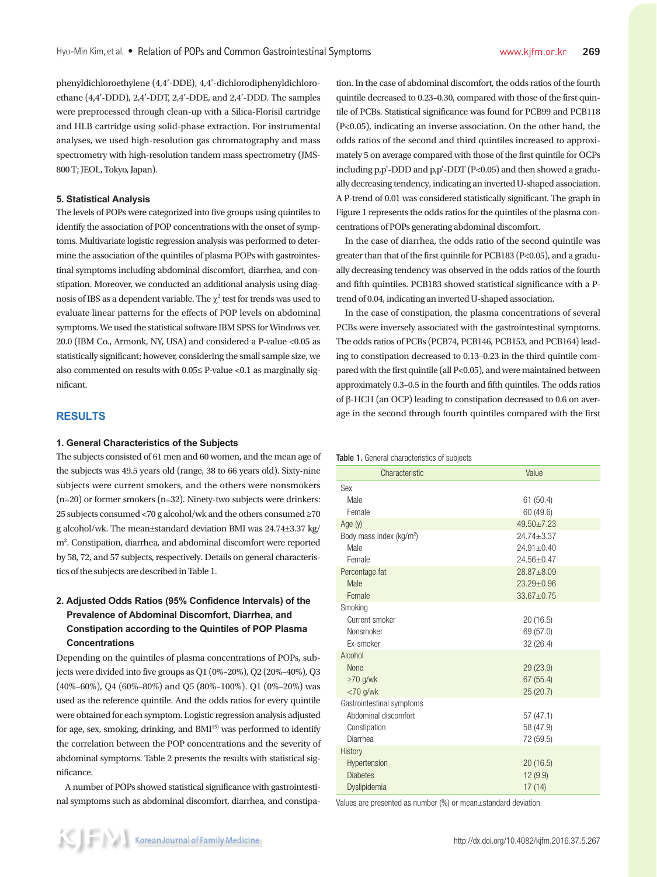phenyldichloroethylene (4,4'-DDE), 4,4'-dichlorodiphenyldichloroethane (4,4'-DDD), 2,4'-DDT, 2,4'-DDE, and 2,4'-DDD. The samples were preprocessed through clean-up with a Silica-Florisil cartridge and HLB cartridge using solid-phase extraction. For instrumental analyses, we used high-resolution gas chromatography and mass spectrometry with high-resolution tandem mass spectrometry (JMS-800 T; JEOL, Tokyo, Japan).

#### **5. Statistical Analysis**

The levels of POPs were categorized into five groups using quintiles to identify the association of POP concentrations with the onset of symptoms. Multivariate logistic regression analysis was performed to determine the association of the quintiles of plasma POPs with gastrointestinal symptoms including abdominal discomfort, diarrhea, and constipation. Moreover, we conducted an additional analysis using diagnosis of IBS as a dependent variable. The  $\chi^2$  test for trends was used to evaluate linear patterns for the effects of POP levels on abdominal symptoms. We used the statistical software IBM SPSS for Windows ver. 20.0 (IBM Co., Armonk, NY, USA) and considered a P-value <0.05 as statistically significant; however, considering the small sample size, we also commented on results with 0.05≤ P-value <0.1 as marginally significant.

### **RESULTS**

#### **1. General Characteristics of the Subjects**

The subjects consisted of 61 men and 60 women, and the mean age of the subjects was 49.5 years old (range, 38 to 66 years old). Sixty-nine subjects were current smokers, and the others were nonsmokers  $(n=20)$  or former smokers  $(n=32)$ . Ninety-two subjects were drinkers: 25 subjects consumed <70 g alcohol/wk and the others consumed ≥70 g alcohol/wk. The mean±standard deviation BMI was 24.74±3.37 kg/ m2 . Constipation, diarrhea, and abdominal discomfort were reported by 58, 72, and 57 subjects, respectively. Details on general characteristics of the subjects are described in Table 1.

## **2. Adjusted Odds Ratios (95% Confidence Intervals) of the Prevalence of Abdominal Discomfort, Diarrhea, and Constipation according to the Quintiles of POP Plasma Concentrations**

Depending on the quintiles of plasma concentrations of POPs, subjects were divided into five groups as Q1 (0%–20%), Q2 (20%–40%), Q3 (40%–60%), Q4 (60%–80%) and Q5 (80%–100%). Q1 (0%–20%) was used as the reference quintile. And the odds ratios for every quintile were obtained for each symptom. Logistic regression analysis adjusted for age, sex, smoking, drinking, and  $BMI<sup>15</sup>$  was performed to identify the correlation between the POP concentrations and the severity of abdominal symptoms. Table 2 presents the results with statistical significance.

 A number of POPs showed statistical significance with gastrointestinal symptoms such as abdominal discomfort, diarrhea, and constipation. In the case of abdominal discomfort, the odds ratios of the fourth quintile decreased to 0.23–0.30, compared with those of the first quintile of PCBs. Statistical significance was found for PCB99 and PCB118 (P<0.05), indicating an inverse association. On the other hand, the odds ratios of the second and third quintiles increased to approximately 5 on average compared with those of the first quintile for OCPs including p,p'-DDD and p,p'-DDT (P<0.05) and then showed a gradually decreasing tendency, indicating an inverted U-shaped association. A P-trend of 0.01 was considered statistically significant. The graph in Figure 1 represents the odds ratios for the quintiles of the plasma concentrations of POPs generating abdominal discomfort.

 In the case of diarrhea, the odds ratio of the second quintile was greater than that of the first quintile for PCB183 (P<0.05), and a gradually decreasing tendency was observed in the odds ratios of the fourth and fifth quintiles. PCB183 showed statistical significance with a Ptrend of 0.04, indicating an inverted U-shaped association.

 In the case of constipation, the plasma concentrations of several PCBs were inversely associated with the gastrointestinal symptoms. The odds ratios of PCBs (PCB74, PCB146, PCB153, and PCB164) leading to constipation decreased to 0.13–0.23 in the third quintile compared with the first quintile (all P<0.05), and were maintained between approximately 0.3–0.5 in the fourth and fifth quintiles. The odds ratios of  $\beta$ -HCH (an OCP) leading to constipation decreased to 0.6 on average in the second through fourth quintiles compared with the first

#### Table 1. General characteristics of subjects

| Characteristic                                                                | Value                                                  |
|-------------------------------------------------------------------------------|--------------------------------------------------------|
| Sex<br>Male                                                                   | 61 (50.4)                                              |
| Female<br>Age $(y)$                                                           | 60 (49.6)<br>$49.50 \pm 7.23$                          |
| Body mass index (kg/m <sup>2</sup> )<br>Male<br>Female                        | $24.74 + 3.37$<br>$24.91 \pm 0.40$<br>$24.56 \pm 0.47$ |
| Percentage fat<br>Male<br>Female                                              | $28.87 + 8.09$<br>$23.29 + 0.96$<br>$33.67 + 0.75$     |
| Smoking<br>Current smoker<br>Nonsmoker<br>Ex-smoker                           | 20 (16.5)<br>69 (57.0)<br>32 (26.4)                    |
| Alcohol<br><b>None</b><br>$\geq 70$ g/wk<br>$<$ 70 g/wk                       | 29 (23.9)<br>67(55.4)<br>25 (20.7)                     |
| Gastrointestinal symptoms<br>Abdominal discomfort<br>Constipation<br>Diarrhea | 57 (47.1)<br>58 (47.9)<br>72 (59.5)                    |
| History<br>Hypertension<br><b>Diabetes</b><br>Dyslipidemia                    | 20(16.5)<br>12(9.9)<br>17(14)                          |

Values are presented as number (%) or mean±standard deviation.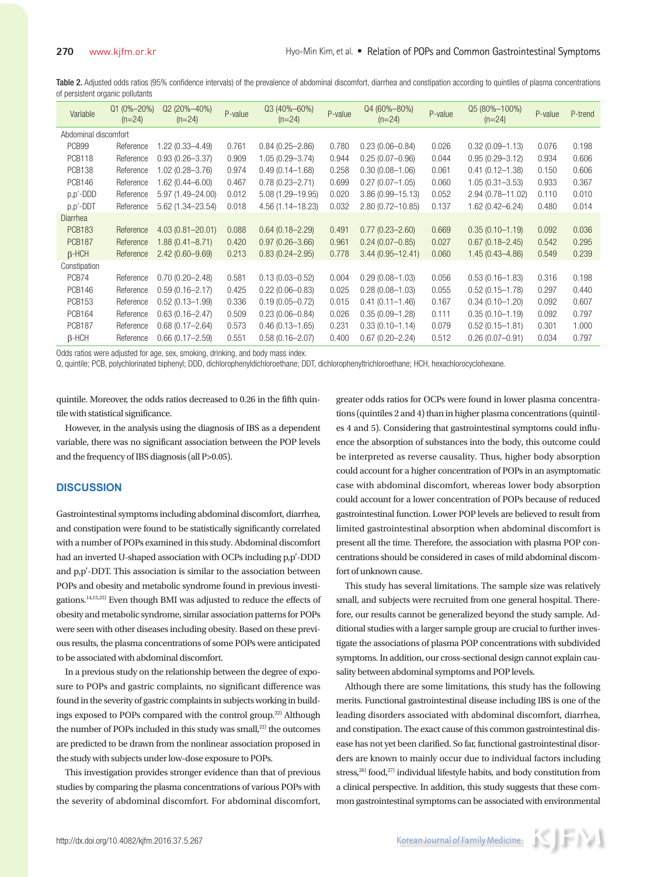| Variable             | $Q1 (0\% - 20\%)$<br>$(n=24)$ | Q2 (20%-40%)<br>$(n=24)$ | P-value | Q3 (40%-60%)<br>$(n=24)$ | P-value | Q4 (60%-80%)<br>$(n=24)$ | P-value | Q5 (80%-100%)<br>$(n=24)$ | P-value | P-trend |
|----------------------|-------------------------------|--------------------------|---------|--------------------------|---------|--------------------------|---------|---------------------------|---------|---------|
| Abdominal discomfort |                               |                          |         |                          |         |                          |         |                           |         |         |
| PCB99                | Reference                     | 1.22 (0.33–4.49)         | 0.761   | $0.84(0.25 - 2.86)$      | 0.780   | $0.23(0.06 - 0.84)$      | 0.026   | $0.32(0.09 - 1.13)$       | 0.076   | 0.198   |
| <b>PCB118</b>        | Reference                     | $0.93(0.26 - 3.37)$      | 0.909   | $1.05(0.29 - 3.74)$      | 0.944   | $0.25(0.07 - 0.96)$      | 0.044   | $0.95(0.29 - 3.12)$       | 0.934   | 0.606   |
| <b>PCB138</b>        | Reference                     | 1.02 (0.28–3.76)         | 0.974   | $0.49(0.14 - 1.68)$      | 0.258   | $0.30(0.08 - 1.06)$      | 0.061   | $0.41(0.12 - 1.38)$       | 0.150   | 0.606   |
| <b>PCB146</b>        | Reference                     | $1.62(0.44 - 6.00)$      | 0.467   | $0.78(0.23 - 2.71)$      | 0.699   | $0.27(0.07 - 1.05)$      | 0.060   | $1.05(0.31 - 3.53)$       | 0.933   | 0.367   |
| $p, p'$ -DDD         | Reference                     | 5.97 (1.49-24.00)        | 0.012   | $5.08(1.29 - 19.95)$     | 0.020   | $3.86(0.99 - 15.13)$     | 0.052   | 2.94 (0.78-11.02)         | 0.110   | 0.010   |
| p,p'-DDT             | Reference                     | 5.62 (1.34-23.54)        | 0.018   | 4.56 (1.14-18.23)        | 0.032   | $2.80(0.72 - 10.85)$     | 0.137   | $1.62(0.42 - 6.24)$       | 0.480   | 0.014   |
| <b>Diarrhea</b>      |                               |                          |         |                          |         |                          |         |                           |         |         |
| <b>PCB183</b>        | Reference                     | $4.03(0.81 - 20.01)$     | 0.088   | $0.64(0.18 - 2.29)$      | 0.491   | $0.77(0.23 - 2.60)$      | 0.669   | $0.35(0.10 - 1.19)$       | 0.092   | 0.036   |
| <b>PCB187</b>        | Reference                     | $1.88(0.41 - 8.71)$      | 0.420   | $0.97(0.26 - 3.66)$      | 0.961   | $0.24(0.07 - 0.85)$      | 0.027   | $0.67(0.18 - 2.45)$       | 0.542   | 0.295   |
| $B$ -HCH             | Reference                     | $2.42(0.60 - 9.69)$      | 0.213   | $0.83(0.24 - 2.95)$      | 0.778   | $3.44(0.95 - 12.41)$     | 0.060   | $1.45(0.43 - 4.86)$       | 0.549   | 0.239   |
| Constipation         |                               |                          |         |                          |         |                          |         |                           |         |         |
| PCB74                | Reference                     | $0.70(0.20 - 2.48)$      | 0.581   | $0.13(0.03 - 0.52)$      | 0.004   | $0.29(0.08 - 1.03)$      | 0.056   | $0.53(0.16 - 1.83)$       | 0.316   | 0.198   |
| <b>PCB146</b>        | Reference                     | $0.59(0.16 - 2.17)$      | 0.425   | $0.22(0.06 - 0.83)$      | 0.025   | $0.28(0.08 - 1.03)$      | 0.055   | $0.52(0.15 - 1.78)$       | 0.297   | 0.440   |
| <b>PCB153</b>        | Reference                     | $0.52(0.13 - 1.99)$      | 0.336   | $0.19(0.05 - 0.72)$      | 0.015   | $0.41(0.11 - 1.46)$      | 0.167   | $0.34(0.10 - 1.20)$       | 0.092   | 0.607   |
| <b>PCB164</b>        | Reference                     | $0.63(0.16 - 2.47)$      | 0.509   | $0.23(0.06 - 0.84)$      | 0.026   | $0.35(0.09 - 1.28)$      | 0.111   | $0.35(0.10 - 1.19)$       | 0.092   | 0.797   |
| <b>PCB187</b>        | Reference                     | $0.68(0.17 - 2.64)$      | 0.573   | $0.46(0.13 - 1.65)$      | 0.231   | $0.33(0.10 - 1.14)$      | 0.079   | $0.52(0.15 - 1.81)$       | 0.301   | 1.000   |
| $B$ -HCH             | Reference                     | $0.66(0.17 - 2.59)$      | 0.551   | $0.58(0.16 - 2.07)$      | 0.400   | $0.67(0.20 - 2.24)$      | 0.512   | $0.26(0.07 - 0.91)$       | 0.034   | 0.797   |

Table 2. Adjusted odds ratios (95% confidence intervals) of the prevalence of abdominal discomfort, diarrhea and constipation according to quintiles of plasma concentrations of persistent organic pollutants

Odds ratios were adjusted for age, sex, smoking, drinking, and body mass index.

Q, quintile; PCB, polychlorinated biphenyl; DDD, dichlorophenyldichloroethane; DDT, dichlorophenyltrichloroethane; HCH, hexachlorocyclohexane.

quintile. Moreover, the odds ratios decreased to 0.26 in the fifth quintile with statistical significance.

 However, in the analysis using the diagnosis of IBS as a dependent variable, there was no significant association between the POP levels and the frequency of IBS diagnosis (all P>0.05).

#### **DISCUSSION**

Gastrointestinal symptoms including abdominal discomfort, diarrhea, and constipation were found to be statistically significantly correlated with a number of POPs examined in this study. Abdominal discomfort had an inverted U-shaped association with OCPs including p,p'-DDD and p,p'-DDT. This association is similar to the association between POPs and obesity and metabolic syndrome found in previous investigations.14,15,25) Even though BMI was adjusted to reduce the effects of obesity and metabolic syndrome, similar association patterns for POPs were seen with other diseases including obesity. Based on these previous results, the plasma concentrations of some POPs were anticipated to be associated with abdominal discomfort.

 In a previous study on the relationship between the degree of exposure to POPs and gastric complaints, no significant difference was found in the severity of gastric complaints in subjects working in buildings exposed to POPs compared with the control group.22) Although the number of POPs included in this study was small, $^{22}$ ) the outcomes are predicted to be drawn from the nonlinear association proposed in the study with subjects under low-dose exposure to POPs.

 This investigation provides stronger evidence than that of previous studies by comparing the plasma concentrations of various POPs with the severity of abdominal discomfort. For abdominal discomfort,

greater odds ratios for OCPs were found in lower plasma concentrations (quintiles 2 and 4) than in higher plasma concentrations (quintiles 4 and 5). Considering that gastrointestinal symptoms could influence the absorption of substances into the body, this outcome could be interpreted as reverse causality. Thus, higher body absorption could account for a higher concentration of POPs in an asymptomatic case with abdominal discomfort, whereas lower body absorption could account for a lower concentration of POPs because of reduced gastrointestinal function. Lower POP levels are believed to result from limited gastrointestinal absorption when abdominal discomfort is present all the time. Therefore, the association with plasma POP concentrations should be considered in cases of mild abdominal discomfort of unknown cause.

 This study has several limitations. The sample size was relatively small, and subjects were recruited from one general hospital. Therefore, our results cannot be generalized beyond the study sample. Additional studies with a larger sample group are crucial to further investigate the associations of plasma POP concentrations with subdivided symptoms. In addition, our cross-sectional design cannot explain causality between abdominal symptoms and POP levels.

 Although there are some limitations, this study has the following merits. Functional gastrointestinal disease including IBS is one of the leading disorders associated with abdominal discomfort, diarrhea, and constipation. The exact cause of this common gastrointestinal disease has not yet been clarified. So far, functional gastrointestinal disorders are known to mainly occur due to individual factors including stress,<sup>26)</sup> food,<sup>27)</sup> individual lifestyle habits, and body constitution from a clinical perspective. In addition, this study suggests that these common gastrointestinal symptoms can be associated with environmental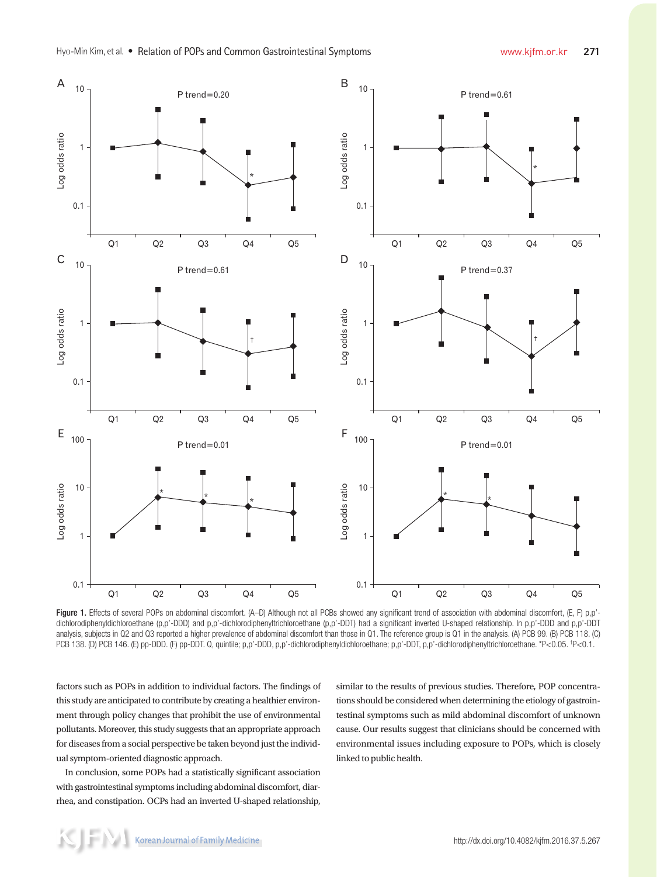

Figure 1. Effects of several POPs on abdominal discomfort. (A-D) Although not all PCBs showed any significant trend of association with abdominal discomfort, (E, F) p,p'dichlorodiphenyldichloroethane (p,p'-DDD) and p,p'-dichlorodiphenyltrichloroethane (p,p'-DDT) had a significant inverted U-shaped relationship. In p,p'-DDD and p,p'-DDT analysis, subjects in Q2 and Q3 reported a higher prevalence of abdominal discomfort than those in Q1. The reference group is Q1 in the analysis. (A) PCB 99. (B) PCB 118. (C) PCB 138. (D) PCB 146. (E) pp-DDD. (F) pp-DDT. Q, quintile; p,p'-DDD, p,p'-dichlorodiphenyldichloroethane; p,p'-DDT, p,p'-dichlorodiphenyltrichloroethane. \*P<0.05. † P<0.1.

factors such as POPs in addition to individual factors. The findings of this study are anticipated to contribute by creating a healthier environment through policy changes that prohibit the use of environmental pollutants. Moreover, this study suggests that an appropriate approach for diseases from a social perspective be taken beyond just the individual symptom-oriented diagnostic approach.

 In conclusion, some POPs had a statistically significant association with gastrointestinal symptoms including abdominal discomfort, diarrhea, and constipation. OCPs had an inverted U-shaped relationship,

similar to the results of previous studies. Therefore, POP concentrations should be considered when determining the etiology of gastrointestinal symptoms such as mild abdominal discomfort of unknown cause. Our results suggest that clinicians should be concerned with environmental issues including exposure to POPs, which is closely linked to public health.